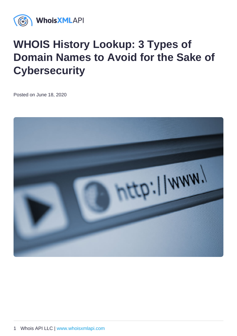## WHOIS History Lookup: 3 Types of Domain Names to Avoid for the Sake of **Cybersecurity**

Posted on June 18, 2020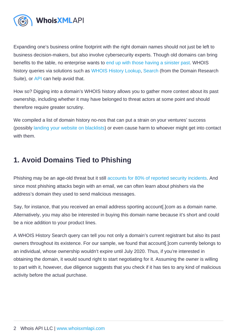Expanding one's business online footprint with the right domain names should not just be left to business decision-makers, but also involve cybersecurity experts. Though old domains can bring benefits to the table, no enterprise wants to [end up with those having a sinister past.](https://drs.whoisxmlapi.com/blog/avoid-ties-to-malicious-activity-by-knowing-the-history-of-a-domains-ownership) WHOIS history queries via solutions such as [WHOIS History Lookup](https://whois-history.whoisxmlapi.com/lookup), [Search](https://drs.whoisxmlapi.com/whois-history) (from the Domain Research Suite), or [API](https://whois-history.whoisxmlapi.com/api) can help avoid that.

How so? Digging into a domain's WHOIS history allows you to gather more context about its past ownership, including whether it may have belonged to threat actors at some point and should therefore require greater scrutiny.

We compiled a list of domain history no-nos that can put a strain on your ventures' success (possibly [landing your website on blacklists\)](https://drs.whoisxmlapi.com/blog/knowing-a-domains-ownership-history-can-help-you-avoid-getting-a-blacklisted-domain) or even cause harm to whoever might get into contact with them.

## 1. Avoid Domains Tied to Phishing

Phishing may be an age-old threat but it still [accounts for 80% of reported security incidents.](https://www.csoonline.com/article/3153707/top-cybersecurity-facts-figures-and-statistics.html) And since most phishing attacks begin with an email, we can often learn about phishers via the address's domain they used to send malicious messages.

Say, for instance, that you received an email address sporting account[.]com as a domain name. Alternatively, you may also be interested in buying this domain name because it's short and could be a nice addition to your product lines.

A WHOIS History Search query can tell you not only a domain's current registrant but also its past owners throughout its existence. For our sample, we found that account[.]com currently belongs to an individual, whose ownership wouldn't expire until July 2020. Thus, if you're interested in obtaining the domain, it would sound right to start negotiating for it. Assuming the owner is willing to part with it, however, due diligence suggests that you check if it has ties to any kind of malicious activity before the actual purchase.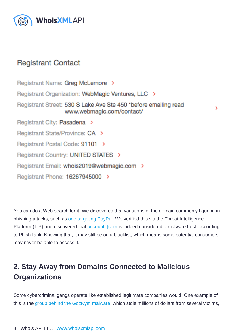You can do a Web search for it. We discovered that variations of the domain commonly figuring in phishing attacks, such as [one targeting PayPal.](https://www.metacompliance.com/blog/what-are-paypal-phishing-scams-and-how-to-spot-them/) We verified this via the Threat Intelligence Platform (TIP) and discovered that [account\[.\]com](https://threatintelligenceplatform.com/report/account.com/PHi5TCuv8k) is indeed considered a malware host, according to PhishTank. Knowing that, it may still be on a blacklist, which means some potential consumers may never be able to access it.

## 2. Stay Away from Domains Connected to Malicious **Organizations**

Some cybercriminal gangs operate like established legitimate companies would. One example of this is the [group behind the GozNym malware,](https://www.fbi.gov/wanted/cyber/goznym-subjects?__cf_chl_jschl_tk__=74c48c0633e8ed88372d18c91249ae75ba863d00-1587015572-0-AfPRGOzbfEjPI_NfJEuiLRGWkX70ABkjWjsQzYPSLnq6YqHo6Fmnp_SYssT3aGja2u2ESdQFCWFr-a8ar5jgT4E-dYHsBHyqHtpLUR7dNTFeNcXY88ljHG4coT4P0Qm-l6yEsqmIvKuqEzWX8v7Gv9BbI5N30Aae3jIEDOkwDu30UhUuJCAFyS0v3bu7u-m7raYX49aoVocqm-a9YXZwm8LqXGJgW-OM6OKzkgjxDvfKH_uMzm45KJ6H3ubKUx8Ka7zC77NDs8MnSFAYUdp3n9Oo57ftmFiGqepKlYd1tZxwerT-frhZam8hK5j6F_nFDg) which stole millions of dollars from several victims,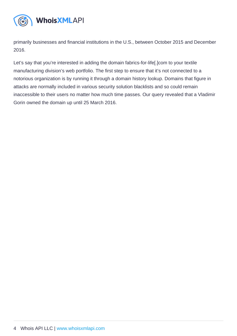primarily businesses and financial institutions in the U.S., between October 2015 and December 2016.

Let's say that you're interested in adding the domain fabrics-for-life[.]com to your textile manufacturing division's web portfolio. The first step to ensure that it's not connected to a notorious organization is by running it through a domain history lookup. Domains that figure in attacks are normally included in various security solution blacklists and so could remain inaccessible to their users no matter how much time passes. Our query revealed that a Vladimir Gorin owned the domain up until 25 March 2016.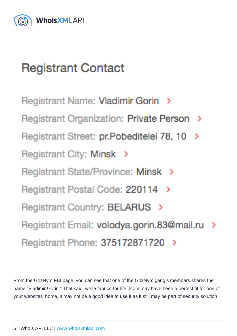From the GozNym FBI page, you can see that one of the GozNym gang's members shares the name "Vladimir Gorin." That said, while fabrics-for-life[.]com may have been a perfect fit for one of your websites' home, it may not be a good idea to use it as it still may be part of security solution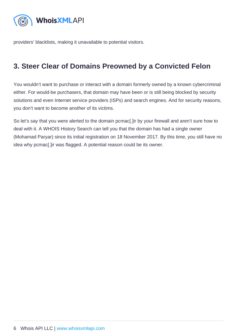providers' blacklists, making it unavailable to potential visitors.

## 3. Steer Clear of Domains Preowned by a Convicted Felon

You wouldn't want to purchase or interact with a domain formerly owned by a known cybercriminal either. For would-be purchasers, that domain may have been or is still being blocked by security solutions and even Internet service providers (ISPs) and search engines. And for security reasons, you don't want to become another of its victims.

So let's say that you were alerted to the domain pcmac[.]ir by your firewall and aren't sure how to deal with it. A WHOIS History Search can tell you that the domain has had a single owner (Mohamad Paryar) since its initial registration on 18 November 2017. By this time, you still have no idea why pcmac[.]ir was flagged. A potential reason could be its owner.